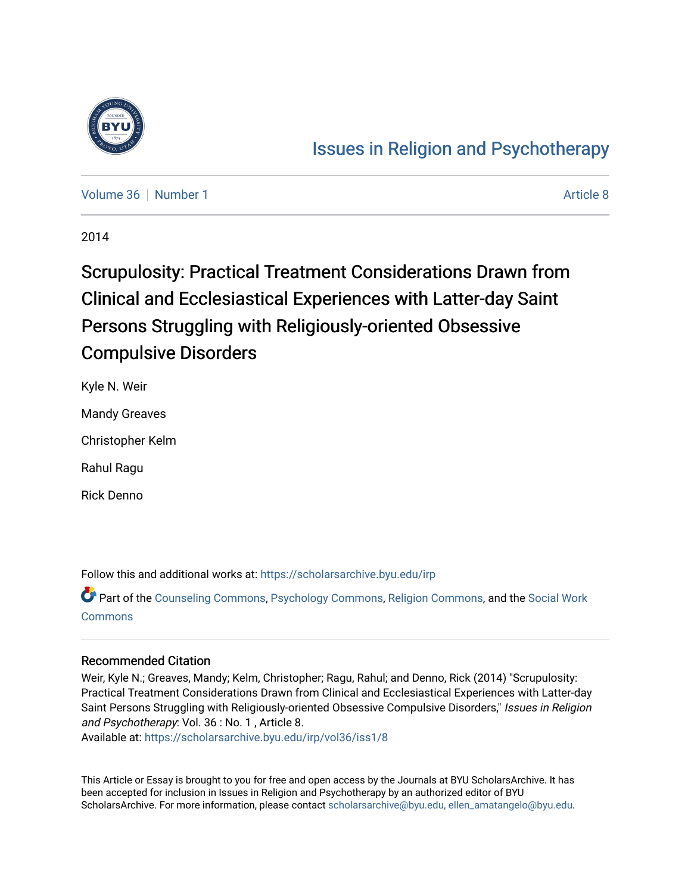

# [Issues in Religion and Psychotherapy](https://scholarsarchive.byu.edu/irp)

[Volume 36](https://scholarsarchive.byu.edu/irp/vol36) [Number 1](https://scholarsarchive.byu.edu/irp/vol36/iss1) [Article 8](https://scholarsarchive.byu.edu/irp/vol36/iss1/8) Article 8

2014

# Scrupulosity: Practical Treatment Considerations Drawn from Clinical and Ecclesiastical Experiences with Latter-day Saint Persons Struggling with Religiously-oriented Obsessive Compulsive Disorders

Kyle N. Weir

Mandy Greaves

Christopher Kelm

Rahul Ragu

Rick Denno

Follow this and additional works at: [https://scholarsarchive.byu.edu/irp](https://scholarsarchive.byu.edu/irp?utm_source=scholarsarchive.byu.edu%2Firp%2Fvol36%2Fiss1%2F8&utm_medium=PDF&utm_campaign=PDFCoverPages)

Part of the [Counseling Commons,](http://network.bepress.com/hgg/discipline/1268?utm_source=scholarsarchive.byu.edu%2Firp%2Fvol36%2Fiss1%2F8&utm_medium=PDF&utm_campaign=PDFCoverPages) [Psychology Commons,](http://network.bepress.com/hgg/discipline/404?utm_source=scholarsarchive.byu.edu%2Firp%2Fvol36%2Fiss1%2F8&utm_medium=PDF&utm_campaign=PDFCoverPages) [Religion Commons](http://network.bepress.com/hgg/discipline/538?utm_source=scholarsarchive.byu.edu%2Firp%2Fvol36%2Fiss1%2F8&utm_medium=PDF&utm_campaign=PDFCoverPages), and the [Social Work](http://network.bepress.com/hgg/discipline/713?utm_source=scholarsarchive.byu.edu%2Firp%2Fvol36%2Fiss1%2F8&utm_medium=PDF&utm_campaign=PDFCoverPages)  [Commons](http://network.bepress.com/hgg/discipline/713?utm_source=scholarsarchive.byu.edu%2Firp%2Fvol36%2Fiss1%2F8&utm_medium=PDF&utm_campaign=PDFCoverPages)

# Recommended Citation

Weir, Kyle N.; Greaves, Mandy; Kelm, Christopher; Ragu, Rahul; and Denno, Rick (2014) "Scrupulosity: Practical Treatment Considerations Drawn from Clinical and Ecclesiastical Experiences with Latter-day Saint Persons Struggling with Religiously-oriented Obsessive Compulsive Disorders," Issues in Religion and Psychotherapy: Vol. 36 : No. 1 , Article 8.

Available at: [https://scholarsarchive.byu.edu/irp/vol36/iss1/8](https://scholarsarchive.byu.edu/irp/vol36/iss1/8?utm_source=scholarsarchive.byu.edu%2Firp%2Fvol36%2Fiss1%2F8&utm_medium=PDF&utm_campaign=PDFCoverPages)

This Article or Essay is brought to you for free and open access by the Journals at BYU ScholarsArchive. It has been accepted for inclusion in Issues in Religion and Psychotherapy by an authorized editor of BYU ScholarsArchive. For more information, please contact [scholarsarchive@byu.edu, ellen\\_amatangelo@byu.edu.](mailto:scholarsarchive@byu.edu,%20ellen_amatangelo@byu.edu)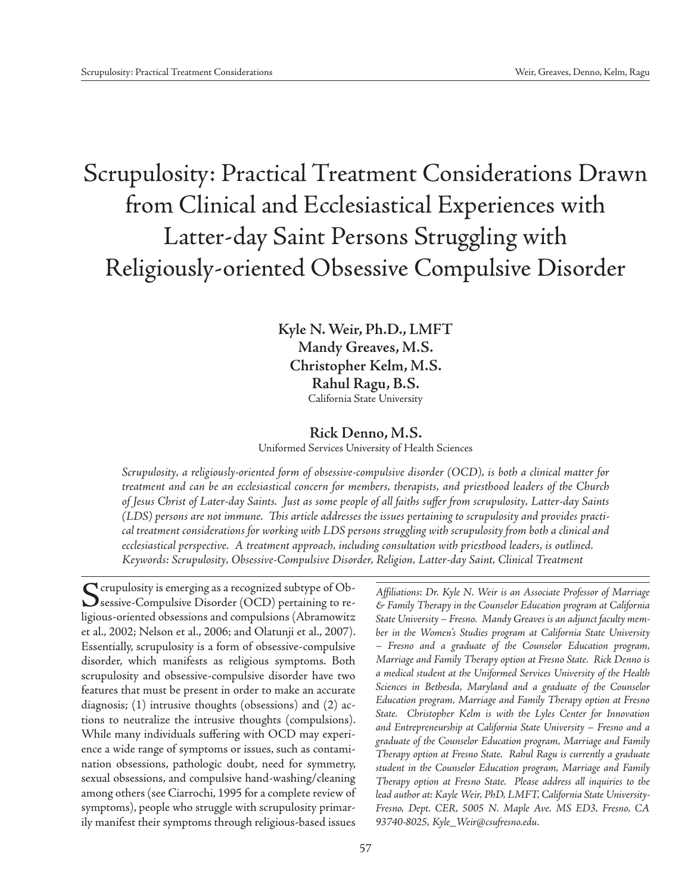# Scrupulosity: Practical Treatment Considerations Drawn from Clinical and Ecclesiastical Experiences with Latter-day Saint Persons Struggling with Religiously-oriented Obsessive Compulsive Disorder

**Kyle N. Weir, Ph.D., LMFT Mandy Greaves, M.S. Christopher Kelm, M.S. Rahul Ragu, B.S.** California State University

# **Rick Denno, M.S.**

Uniformed Services University of Health Sciences

*Scrupulosity, a religiously-oriented form of obsessive-compulsive disorder (OCD), is both a clinical matter for treatment and can be an ecclesiastical concern for members, therapists, and priesthood leaders of the Church of Jesus Christ of Later-day Saints. Just as some people of all faiths suffer from scrupulosity, Latter-day Saints (LDS) persons are not immune. This article addresses the issues pertaining to scrupulosity and provides practical treatment considerations for working with LDS persons struggling with scrupulosity from both a clinical and ecclesiastical perspective. A treatment approach, including consultation with priesthood leaders, is outlined. Keywords: Scrupulosity, Obsessive-Compulsive Disorder, Religion, Latter-day Saint, Clinical Treatment*

Scrupulosity is emerging as a recognized subtype of Ob-<br>Sessive-Compulsive Disorder (OCD) pertaining to religious-oriented obsessions and compulsions (Abramowitz et al., 2002; Nelson et al., 2006; and Olatunji et al., 2007). Essentially, scrupulosity is a form of obsessive-compulsive disorder, which manifests as religious symptoms. Both scrupulosity and obsessive-compulsive disorder have two features that must be present in order to make an accurate diagnosis; (1) intrusive thoughts (obsessions) and (2) actions to neutralize the intrusive thoughts (compulsions). While many individuals suffering with OCD may experience a wide range of symptoms or issues, such as contamination obsessions, pathologic doubt, need for symmetry, sexual obsessions, and compulsive hand-washing/cleaning among others (see Ciarrochi, 1995 for a complete review of symptoms), people who struggle with scrupulosity primarily manifest their symptoms through religious-based issues

*Affiliations: Dr. Kyle N. Weir is an Associate Professor of Marriage & Family Therapy in the Counselor Education program at California State University – Fresno. Mandy Greaves is an adjunct faculty member in the Women's Studies program at California State University – Fresno and a graduate of the Counselor Education program, Marriage and Family Therapy option at Fresno State. Rick Denno is a medical student at the Uniformed Services University of the Health Sciences in Bethesda, Maryland and a graduate of the Counselor Education program, Marriage and Family Therapy option at Fresno State. Christopher Kelm is with the Lyles Center for Innovation and Entrepreneurship at California State University – Fresno and a graduate of the Counselor Education program, Marriage and Family Therapy option at Fresno State. Rahul Ragu is currently a graduate student in the Counselor Education program, Marriage and Family Therapy option at Fresno State. Please address all inquiries to the lead author at: Kayle Weir, PhD, LMFT, California State University-Fresno, Dept. CER, 5005 N. Maple Ave. MS ED3, Fresno, CA 93740-8025, Kyle\_Weir@csufresno.edu.*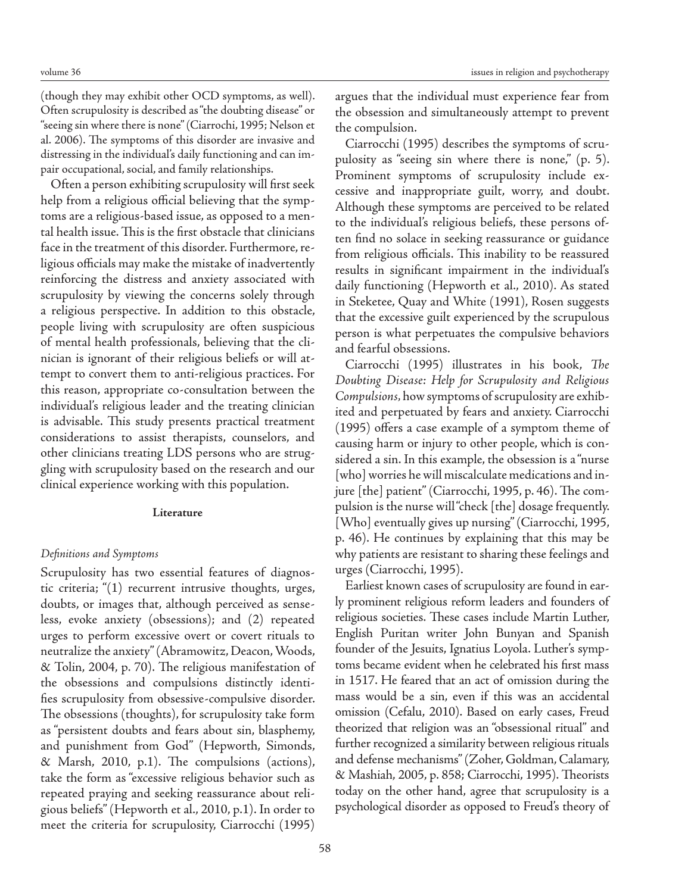(though they may exhibit other OCD symptoms, as well). Often scrupulosity is described as "the doubting disease" or "seeing sin where there is none" (Ciarrochi, 1995; Nelson et al. 2006). The symptoms of this disorder are invasive and distressing in the individual's daily functioning and can impair occupational, social, and family relationships.

Often a person exhibiting scrupulosity will first seek help from a religious official believing that the symptoms are a religious-based issue, as opposed to a mental health issue. This is the first obstacle that clinicians face in the treatment of this disorder. Furthermore, religious officials may make the mistake of inadvertently reinforcing the distress and anxiety associated with scrupulosity by viewing the concerns solely through a religious perspective. In addition to this obstacle, people living with scrupulosity are often suspicious of mental health professionals, believing that the clinician is ignorant of their religious beliefs or will attempt to convert them to anti-religious practices. For this reason, appropriate co-consultation between the individual's religious leader and the treating clinician is advisable. This study presents practical treatment considerations to assist therapists, counselors, and other clinicians treating LDS persons who are struggling with scrupulosity based on the research and our clinical experience working with this population.

#### **Literature**

#### *Definitions and Symptoms*

Scrupulosity has two essential features of diagnostic criteria; "(1) recurrent intrusive thoughts, urges, doubts, or images that, although perceived as senseless, evoke anxiety (obsessions); and (2) repeated urges to perform excessive overt or covert rituals to neutralize the anxiety" (Abramowitz, Deacon, Woods, & Tolin, 2004, p. 70). The religious manifestation of the obsessions and compulsions distinctly identifies scrupulosity from obsessive-compulsive disorder. The obsessions (thoughts), for scrupulosity take form as "persistent doubts and fears about sin, blasphemy, and punishment from God" (Hepworth, Simonds, & Marsh, 2010, p.1). The compulsions (actions), take the form as "excessive religious behavior such as repeated praying and seeking reassurance about religious beliefs" (Hepworth et al., 2010, p.1). In order to meet the criteria for scrupulosity, Ciarrocchi (1995) argues that the individual must experience fear from the obsession and simultaneously attempt to prevent the compulsion.

Ciarrocchi (1995) describes the symptoms of scrupulosity as "seeing sin where there is none," (p. 5). Prominent symptoms of scrupulosity include excessive and inappropriate guilt, worry, and doubt. Although these symptoms are perceived to be related to the individual's religious beliefs, these persons often find no solace in seeking reassurance or guidance from religious officials. This inability to be reassured results in significant impairment in the individual's daily functioning (Hepworth et al., 2010). As stated in Steketee, Quay and White (1991), Rosen suggests that the excessive guilt experienced by the scrupulous person is what perpetuates the compulsive behaviors and fearful obsessions.

Ciarrocchi (1995) illustrates in his book, *The Doubting Disease: Help for Scrupulosity and Religious Compulsions,* how symptoms of scrupulosity are exhibited and perpetuated by fears and anxiety. Ciarrocchi (1995) offers a case example of a symptom theme of causing harm or injury to other people, which is considered a sin. In this example, the obsession is a "nurse [who] worries he will miscalculate medications and injure [the] patient" (Ciarrocchi, 1995, p. 46). The compulsion is the nurse will "check [the] dosage frequently. [Who] eventually gives up nursing" (Ciarrocchi, 1995, p. 46). He continues by explaining that this may be why patients are resistant to sharing these feelings and urges (Ciarrocchi, 1995).

Earliest known cases of scrupulosity are found in early prominent religious reform leaders and founders of religious societies. These cases include Martin Luther, English Puritan writer John Bunyan and Spanish founder of the Jesuits, Ignatius Loyola. Luther's symptoms became evident when he celebrated his first mass in 1517. He feared that an act of omission during the mass would be a sin, even if this was an accidental omission (Cefalu, 2010). Based on early cases, Freud theorized that religion was an "obsessional ritual" and further recognized a similarity between religious rituals and defense mechanisms" (Zoher, Goldman, Calamary, & Mashiah, 2005, p. 858; Ciarrocchi, 1995). Theorists today on the other hand, agree that scrupulosity is a psychological disorder as opposed to Freud's theory of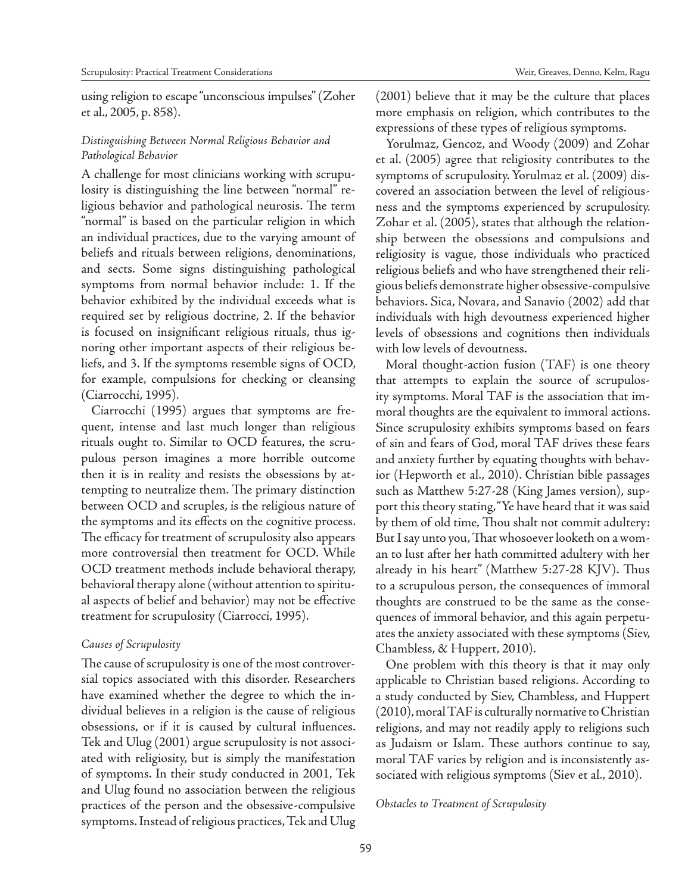using religion to escape "unconscious impulses" (Zoher et al., 2005, p. 858).

# *Distinguishing Between Normal Religious Behavior and Pathological Behavior*

A challenge for most clinicians working with scrupulosity is distinguishing the line between "normal" religious behavior and pathological neurosis. The term "normal" is based on the particular religion in which an individual practices, due to the varying amount of beliefs and rituals between religions, denominations, and sects. Some signs distinguishing pathological symptoms from normal behavior include: 1. If the behavior exhibited by the individual exceeds what is required set by religious doctrine, 2. If the behavior is focused on insignificant religious rituals, thus ignoring other important aspects of their religious beliefs, and 3. If the symptoms resemble signs of OCD, for example, compulsions for checking or cleansing (Ciarrocchi, 1995).

Ciarrocchi (1995) argues that symptoms are frequent, intense and last much longer than religious rituals ought to. Similar to OCD features, the scrupulous person imagines a more horrible outcome then it is in reality and resists the obsessions by attempting to neutralize them. The primary distinction between OCD and scruples, is the religious nature of the symptoms and its effects on the cognitive process. The efficacy for treatment of scrupulosity also appears more controversial then treatment for OCD. While OCD treatment methods include behavioral therapy, behavioral therapy alone (without attention to spiritual aspects of belief and behavior) may not be effective treatment for scrupulosity (Ciarrocci, 1995).

#### *Causes of Scrupulosity*

The cause of scrupulosity is one of the most controversial topics associated with this disorder. Researchers have examined whether the degree to which the individual believes in a religion is the cause of religious obsessions, or if it is caused by cultural influences. Tek and Ulug (2001) argue scrupulosity is not associated with religiosity, but is simply the manifestation of symptoms. In their study conducted in 2001, Tek and Ulug found no association between the religious practices of the person and the obsessive-compulsive symptoms. Instead of religious practices, Tek and Ulug

(2001) believe that it may be the culture that places more emphasis on religion, which contributes to the expressions of these types of religious symptoms.

Yorulmaz, Gencoz, and Woody (2009) and Zohar et al. (2005) agree that religiosity contributes to the symptoms of scrupulosity. Yorulmaz et al. (2009) discovered an association between the level of religiousness and the symptoms experienced by scrupulosity. Zohar et al. (2005), states that although the relationship between the obsessions and compulsions and religiosity is vague, those individuals who practiced religious beliefs and who have strengthened their religious beliefs demonstrate higher obsessive-compulsive behaviors. Sica, Novara, and Sanavio (2002) add that individuals with high devoutness experienced higher levels of obsessions and cognitions then individuals with low levels of devoutness.

Moral thought-action fusion (TAF) is one theory that attempts to explain the source of scrupulosity symptoms. Moral TAF is the association that immoral thoughts are the equivalent to immoral actions. Since scrupulosity exhibits symptoms based on fears of sin and fears of God, moral TAF drives these fears and anxiety further by equating thoughts with behavior (Hepworth et al., 2010). Christian bible passages such as Matthew 5:27-28 (King James version), support this theory stating, "Ye have heard that it was said by them of old time, Thou shalt not commit adultery: But I say unto you, That whosoever looketh on a woman to lust after her hath committed adultery with her already in his heart" (Matthew 5:27-28 KJV). Thus to a scrupulous person, the consequences of immoral thoughts are construed to be the same as the consequences of immoral behavior, and this again perpetuates the anxiety associated with these symptoms (Siev, Chambless, & Huppert, 2010).

One problem with this theory is that it may only applicable to Christian based religions. According to a study conducted by Siev, Chambless, and Huppert (2010), moral TAF is culturally normative to Christian religions, and may not readily apply to religions such as Judaism or Islam. These authors continue to say, moral TAF varies by religion and is inconsistently associated with religious symptoms (Siev et al., 2010).

#### *Obstacles to Treatment of Scrupulosity*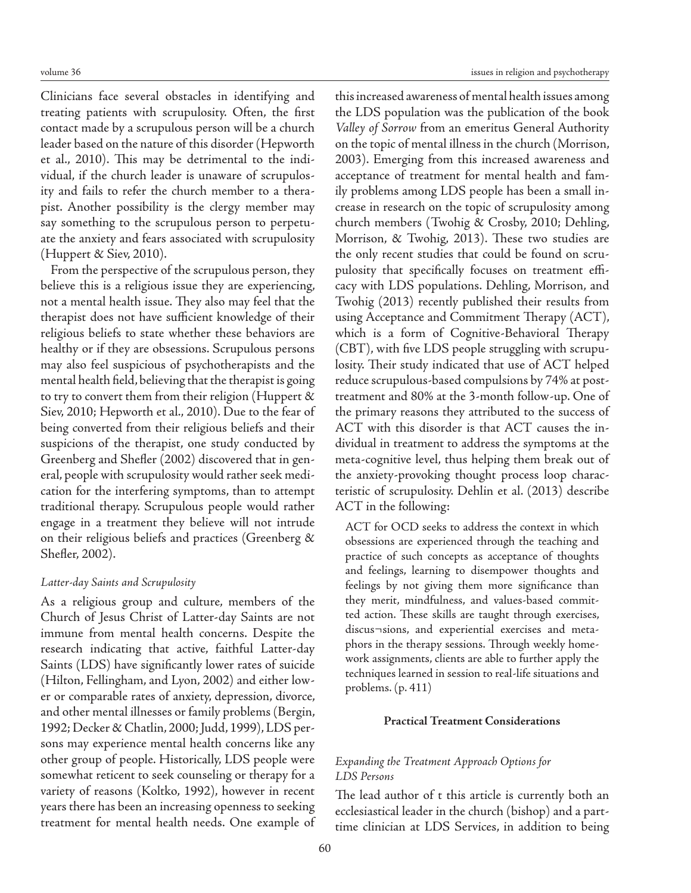Clinicians face several obstacles in identifying and treating patients with scrupulosity. Often, the first contact made by a scrupulous person will be a church leader based on the nature of this disorder (Hepworth et al., 2010). This may be detrimental to the individual, if the church leader is unaware of scrupulosity and fails to refer the church member to a therapist. Another possibility is the clergy member may say something to the scrupulous person to perpetuate the anxiety and fears associated with scrupulosity (Huppert & Siev, 2010).

From the perspective of the scrupulous person, they believe this is a religious issue they are experiencing, not a mental health issue. They also may feel that the therapist does not have sufficient knowledge of their religious beliefs to state whether these behaviors are healthy or if they are obsessions. Scrupulous persons may also feel suspicious of psychotherapists and the mental health field, believing that the therapist is going to try to convert them from their religion (Huppert & Siev, 2010; Hepworth et al., 2010). Due to the fear of being converted from their religious beliefs and their suspicions of the therapist, one study conducted by Greenberg and Shefler (2002) discovered that in general, people with scrupulosity would rather seek medication for the interfering symptoms, than to attempt traditional therapy. Scrupulous people would rather engage in a treatment they believe will not intrude on their religious beliefs and practices (Greenberg & Shefler, 2002).

## *Latter-day Saints and Scrupulosity*

As a religious group and culture, members of the Church of Jesus Christ of Latter-day Saints are not immune from mental health concerns. Despite the research indicating that active, faithful Latter-day Saints (LDS) have significantly lower rates of suicide (Hilton, Fellingham, and Lyon, 2002) and either lower or comparable rates of anxiety, depression, divorce, and other mental illnesses or family problems (Bergin, 1992; Decker & Chatlin, 2000; Judd, 1999), LDS persons may experience mental health concerns like any other group of people. Historically, LDS people were somewhat reticent to seek counseling or therapy for a variety of reasons (Koltko, 1992), however in recent years there has been an increasing openness to seeking treatment for mental health needs. One example of

this increased awareness of mental health issues among the LDS population was the publication of the book *Valley of Sorrow* from an emeritus General Authority on the topic of mental illness in the church (Morrison, 2003). Emerging from this increased awareness and acceptance of treatment for mental health and family problems among LDS people has been a small increase in research on the topic of scrupulosity among church members (Twohig & Crosby, 2010; Dehling, Morrison, & Twohig, 2013). These two studies are the only recent studies that could be found on scrupulosity that specifically focuses on treatment efficacy with LDS populations. Dehling, Morrison, and Twohig (2013) recently published their results from using Acceptance and Commitment Therapy (ACT), which is a form of Cognitive-Behavioral Therapy (CBT), with five LDS people struggling with scrupulosity. Their study indicated that use of ACT helped reduce scrupulous-based compulsions by 74% at posttreatment and 80% at the 3-month follow-up. One of the primary reasons they attributed to the success of ACT with this disorder is that ACT causes the individual in treatment to address the symptoms at the meta-cognitive level, thus helping them break out of the anxiety-provoking thought process loop characteristic of scrupulosity. Dehlin et al. (2013) describe ACT in the following:

ACT for OCD seeks to address the context in which obsessions are experienced through the teaching and practice of such concepts as acceptance of thoughts and feelings, learning to disempower thoughts and feelings by not giving them more significance than they merit, mindfulness, and values-based committed action. These skills are taught through exercises, discus¬sions, and experiential exercises and metaphors in the therapy sessions. Through weekly homework assignments, clients are able to further apply the techniques learned in session to real-life situations and problems. (p. 411)

## **Practical Treatment Considerations**

# *Expanding the Treatment Approach Options for LDS Persons*

The lead author of t this article is currently both an ecclesiastical leader in the church (bishop) and a parttime clinician at LDS Services, in addition to being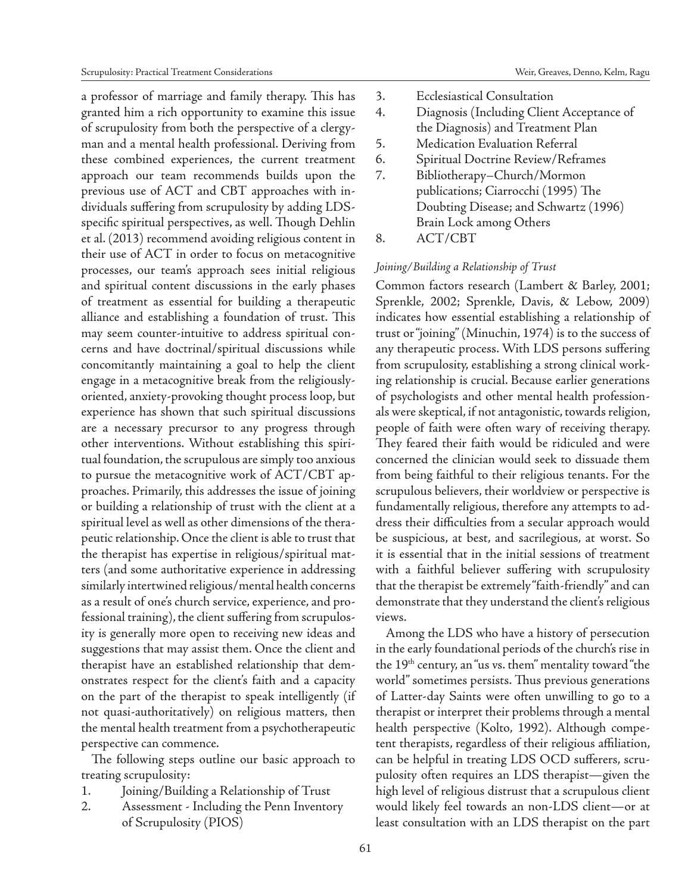a professor of marriage and family therapy. This has granted him a rich opportunity to examine this issue of scrupulosity from both the perspective of a clergyman and a mental health professional. Deriving from these combined experiences, the current treatment approach our team recommends builds upon the previous use of ACT and CBT approaches with individuals suffering from scrupulosity by adding LDSspecific spiritual perspectives, as well. Though Dehlin et al. (2013) recommend avoiding religious content in their use of ACT in order to focus on metacognitive processes, our team's approach sees initial religious and spiritual content discussions in the early phases of treatment as essential for building a therapeutic alliance and establishing a foundation of trust. This may seem counter-intuitive to address spiritual concerns and have doctrinal/spiritual discussions while concomitantly maintaining a goal to help the client engage in a metacognitive break from the religiouslyoriented, anxiety-provoking thought process loop, but experience has shown that such spiritual discussions are a necessary precursor to any progress through other interventions. Without establishing this spiritual foundation, the scrupulous are simply too anxious to pursue the metacognitive work of ACT/CBT approaches. Primarily, this addresses the issue of joining or building a relationship of trust with the client at a spiritual level as well as other dimensions of the therapeutic relationship. Once the client is able to trust that the therapist has expertise in religious/spiritual matters (and some authoritative experience in addressing similarly intertwined religious/mental health concerns as a result of one's church service, experience, and professional training), the client suffering from scrupulosity is generally more open to receiving new ideas and suggestions that may assist them. Once the client and therapist have an established relationship that demonstrates respect for the client's faith and a capacity on the part of the therapist to speak intelligently (if not quasi-authoritatively) on religious matters, then the mental health treatment from a psychotherapeutic perspective can commence.

The following steps outline our basic approach to treating scrupulosity:

- 1. Joining/Building a Relationship of Trust
- 2. Assessment Including the Penn Inventory of Scrupulosity (PIOS)
- 3. Ecclesiastical Consultation
- 4. Diagnosis (Including Client Acceptance of the Diagnosis) and Treatment Plan
- 5. Medication Evaluation Referral
- 6. Spiritual Doctrine Review/Reframes
- 7. Bibliotherapy–Church/Mormon publications; Ciarrocchi (1995) The Doubting Disease; and Schwartz (1996) Brain Lock among Others
- 8. ACT/CBT

# *Joining/Building a Relationship of Trust*

Common factors research (Lambert & Barley, 2001; Sprenkle, 2002; Sprenkle, Davis, & Lebow, 2009) indicates how essential establishing a relationship of trust or "joining" (Minuchin, 1974) is to the success of any therapeutic process. With LDS persons suffering from scrupulosity, establishing a strong clinical working relationship is crucial. Because earlier generations of psychologists and other mental health professionals were skeptical, if not antagonistic, towards religion, people of faith were often wary of receiving therapy. They feared their faith would be ridiculed and were concerned the clinician would seek to dissuade them from being faithful to their religious tenants. For the scrupulous believers, their worldview or perspective is fundamentally religious, therefore any attempts to address their difficulties from a secular approach would be suspicious, at best, and sacrilegious, at worst. So it is essential that in the initial sessions of treatment with a faithful believer suffering with scrupulosity that the therapist be extremely "faith-friendly" and can demonstrate that they understand the client's religious views.

Among the LDS who have a history of persecution in the early foundational periods of the church's rise in the  $19<sup>th</sup>$  century, an "us vs. them" mentality toward "the world" sometimes persists. Thus previous generations of Latter-day Saints were often unwilling to go to a therapist or interpret their problems through a mental health perspective (Kolto, 1992). Although competent therapists, regardless of their religious affiliation, can be helpful in treating LDS OCD sufferers, scrupulosity often requires an LDS therapist—given the high level of religious distrust that a scrupulous client would likely feel towards an non-LDS client—or at least consultation with an LDS therapist on the part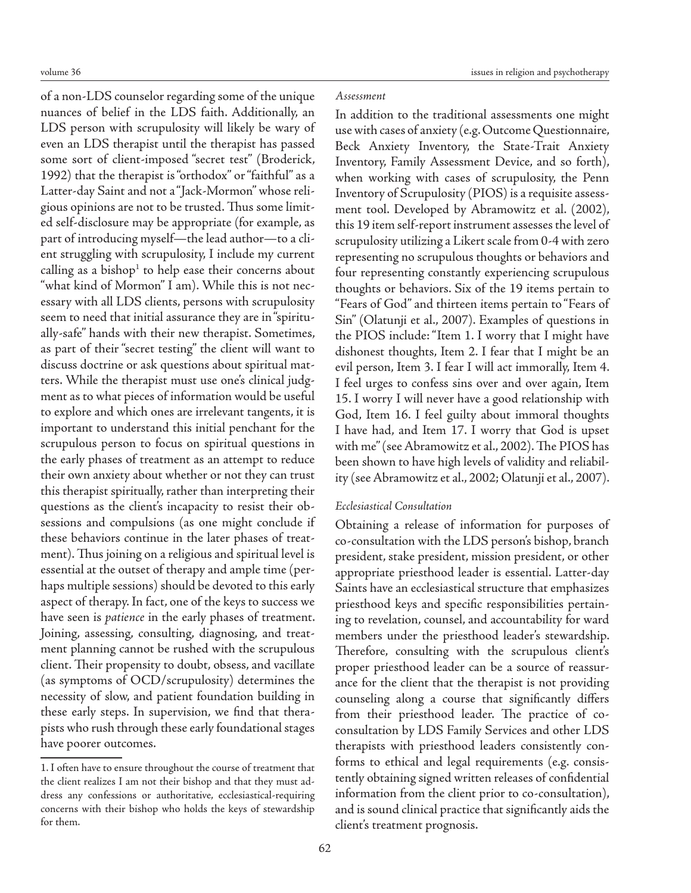of a non-LDS counselor regarding some of the unique nuances of belief in the LDS faith. Additionally, an LDS person with scrupulosity will likely be wary of even an LDS therapist until the therapist has passed some sort of client-imposed "secret test" (Broderick, 1992) that the therapist is "orthodox" or "faithful" as a Latter-day Saint and not a "Jack-Mormon" whose religious opinions are not to be trusted. Thus some limited self-disclosure may be appropriate (for example, as part of introducing myself—the lead author—to a client struggling with scrupulosity, I include my current calling as a bishop $1$  to help ease their concerns about "what kind of Mormon" I am). While this is not necessary with all LDS clients, persons with scrupulosity seem to need that initial assurance they are in "spiritually-safe" hands with their new therapist. Sometimes, as part of their "secret testing" the client will want to discuss doctrine or ask questions about spiritual matters. While the therapist must use one's clinical judgment as to what pieces of information would be useful to explore and which ones are irrelevant tangents, it is important to understand this initial penchant for the scrupulous person to focus on spiritual questions in the early phases of treatment as an attempt to reduce their own anxiety about whether or not they can trust this therapist spiritually, rather than interpreting their questions as the client's incapacity to resist their obsessions and compulsions (as one might conclude if these behaviors continue in the later phases of treatment). Thus joining on a religious and spiritual level is essential at the outset of therapy and ample time (perhaps multiple sessions) should be devoted to this early aspect of therapy. In fact, one of the keys to success we have seen is *patience* in the early phases of treatment. Joining, assessing, consulting, diagnosing, and treatment planning cannot be rushed with the scrupulous client. Their propensity to doubt, obsess, and vacillate (as symptoms of OCD/scrupulosity) determines the necessity of slow, and patient foundation building in these early steps. In supervision, we find that therapists who rush through these early foundational stages have poorer outcomes.

# *Assessment*

In addition to the traditional assessments one might use with cases of anxiety (e.g. Outcome Questionnaire, Beck Anxiety Inventory, the State-Trait Anxiety Inventory, Family Assessment Device, and so forth), when working with cases of scrupulosity, the Penn Inventory of Scrupulosity (PIOS) is a requisite assessment tool. Developed by Abramowitz et al. (2002), this 19 item self-report instrument assesses the level of scrupulosity utilizing a Likert scale from 0-4 with zero representing no scrupulous thoughts or behaviors and four representing constantly experiencing scrupulous thoughts or behaviors. Six of the 19 items pertain to "Fears of God" and thirteen items pertain to "Fears of Sin" (Olatunji et al., 2007). Examples of questions in the PIOS include: "Item 1. I worry that I might have dishonest thoughts, Item 2. I fear that I might be an evil person, Item 3. I fear I will act immorally, Item 4. I feel urges to confess sins over and over again, Item 15. I worry I will never have a good relationship with God, Item 16. I feel guilty about immoral thoughts I have had, and Item 17. I worry that God is upset with me" (see Abramowitz et al., 2002). The PIOS has been shown to have high levels of validity and reliability (see Abramowitz et al., 2002; Olatunji et al., 2007).

## *Ecclesiastical Consultation*

Obtaining a release of information for purposes of co-consultation with the LDS person's bishop, branch president, stake president, mission president, or other appropriate priesthood leader is essential. Latter-day Saints have an ecclesiastical structure that emphasizes priesthood keys and specific responsibilities pertaining to revelation, counsel, and accountability for ward members under the priesthood leader's stewardship. Therefore, consulting with the scrupulous client's proper priesthood leader can be a source of reassurance for the client that the therapist is not providing counseling along a course that significantly differs from their priesthood leader. The practice of coconsultation by LDS Family Services and other LDS therapists with priesthood leaders consistently conforms to ethical and legal requirements (e.g. consistently obtaining signed written releases of confidential information from the client prior to co-consultation), and is sound clinical practice that significantly aids the client's treatment prognosis.

<sup>1.</sup> I often have to ensure throughout the course of treatment that the client realizes I am not their bishop and that they must address any confessions or authoritative, ecclesiastical-requiring concerns with their bishop who holds the keys of stewardship for them.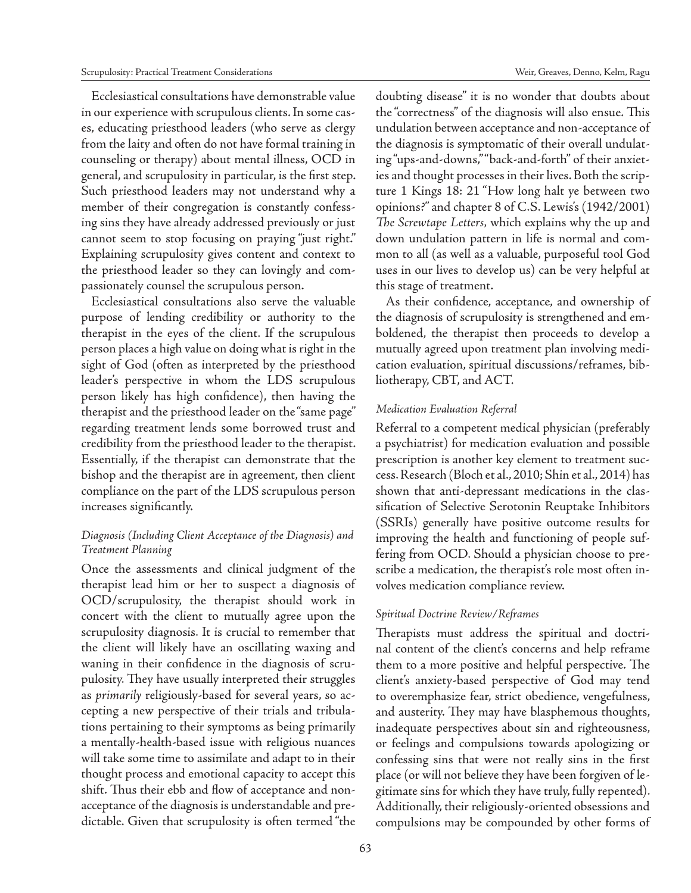Ecclesiastical consultations have demonstrable value in our experience with scrupulous clients. In some cases, educating priesthood leaders (who serve as clergy from the laity and often do not have formal training in counseling or therapy) about mental illness, OCD in general, and scrupulosity in particular, is the first step. Such priesthood leaders may not understand why a member of their congregation is constantly confessing sins they have already addressed previously or just cannot seem to stop focusing on praying "just right." Explaining scrupulosity gives content and context to the priesthood leader so they can lovingly and compassionately counsel the scrupulous person.

Ecclesiastical consultations also serve the valuable purpose of lending credibility or authority to the therapist in the eyes of the client. If the scrupulous person places a high value on doing what is right in the sight of God (often as interpreted by the priesthood leader's perspective in whom the LDS scrupulous person likely has high confidence), then having the therapist and the priesthood leader on the "same page" regarding treatment lends some borrowed trust and credibility from the priesthood leader to the therapist. Essentially, if the therapist can demonstrate that the bishop and the therapist are in agreement, then client compliance on the part of the LDS scrupulous person increases significantly.

# *Diagnosis (Including Client Acceptance of the Diagnosis) and Treatment Planning*

Once the assessments and clinical judgment of the therapist lead him or her to suspect a diagnosis of OCD/scrupulosity, the therapist should work in concert with the client to mutually agree upon the scrupulosity diagnosis. It is crucial to remember that the client will likely have an oscillating waxing and waning in their confidence in the diagnosis of scrupulosity. They have usually interpreted their struggles as *primarily* religiously-based for several years, so accepting a new perspective of their trials and tribulations pertaining to their symptoms as being primarily a mentally-health-based issue with religious nuances will take some time to assimilate and adapt to in their thought process and emotional capacity to accept this shift. Thus their ebb and flow of acceptance and nonacceptance of the diagnosis is understandable and predictable. Given that scrupulosity is often termed "the

doubting disease" it is no wonder that doubts about the "correctness" of the diagnosis will also ensue. This undulation between acceptance and non-acceptance of the diagnosis is symptomatic of their overall undulating "ups-and-downs," "back-and-forth" of their anxieties and thought processes in their lives. Both the scripture 1 Kings 18: 21 "How long halt ye between two opinions?" and chapter 8 of C.S. Lewis's (1942/2001) *The Screwtape Letters,* which explains why the up and down undulation pattern in life is normal and common to all (as well as a valuable, purposeful tool God uses in our lives to develop us) can be very helpful at this stage of treatment.

As their confidence, acceptance, and ownership of the diagnosis of scrupulosity is strengthened and emboldened, the therapist then proceeds to develop a mutually agreed upon treatment plan involving medication evaluation, spiritual discussions/reframes, bibliotherapy, CBT, and ACT.

# *Medication Evaluation Referral*

Referral to a competent medical physician (preferably a psychiatrist) for medication evaluation and possible prescription is another key element to treatment success. Research (Bloch et al., 2010; Shin et al., 2014) has shown that anti-depressant medications in the classification of Selective Serotonin Reuptake Inhibitors (SSRIs) generally have positive outcome results for improving the health and functioning of people suffering from OCD. Should a physician choose to prescribe a medication, the therapist's role most often involves medication compliance review.

## *Spiritual Doctrine Review/Reframes*

Therapists must address the spiritual and doctrinal content of the client's concerns and help reframe them to a more positive and helpful perspective. The client's anxiety-based perspective of God may tend to overemphasize fear, strict obedience, vengefulness, and austerity. They may have blasphemous thoughts, inadequate perspectives about sin and righteousness, or feelings and compulsions towards apologizing or confessing sins that were not really sins in the first place (or will not believe they have been forgiven of legitimate sins for which they have truly, fully repented). Additionally, their religiously-oriented obsessions and compulsions may be compounded by other forms of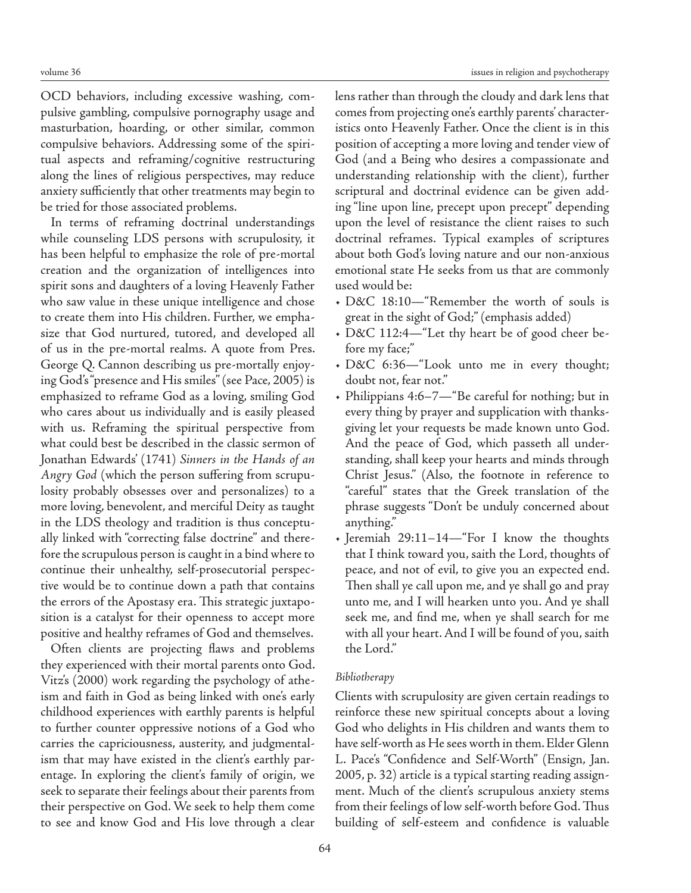OCD behaviors, including excessive washing, compulsive gambling, compulsive pornography usage and masturbation, hoarding, or other similar, common compulsive behaviors. Addressing some of the spiritual aspects and reframing/cognitive restructuring along the lines of religious perspectives, may reduce anxiety sufficiently that other treatments may begin to be tried for those associated problems.

In terms of reframing doctrinal understandings while counseling LDS persons with scrupulosity, it has been helpful to emphasize the role of pre-mortal creation and the organization of intelligences into spirit sons and daughters of a loving Heavenly Father who saw value in these unique intelligence and chose to create them into His children. Further, we emphasize that God nurtured, tutored, and developed all of us in the pre-mortal realms. A quote from Pres. George Q. Cannon describing us pre-mortally enjoying God's "presence and His smiles" (see Pace, 2005) is emphasized to reframe God as a loving, smiling God who cares about us individually and is easily pleased with us. Reframing the spiritual perspective from what could best be described in the classic sermon of Jonathan Edwards' (1741) *Sinners in the Hands of an Angry God* (which the person suffering from scrupulosity probably obsesses over and personalizes) to a more loving, benevolent, and merciful Deity as taught in the LDS theology and tradition is thus conceptually linked with "correcting false doctrine" and therefore the scrupulous person is caught in a bind where to continue their unhealthy, self-prosecutorial perspective would be to continue down a path that contains the errors of the Apostasy era. This strategic juxtaposition is a catalyst for their openness to accept more positive and healthy reframes of God and themselves.

Often clients are projecting flaws and problems they experienced with their mortal parents onto God. Vitz's (2000) work regarding the psychology of atheism and faith in God as being linked with one's early childhood experiences with earthly parents is helpful to further counter oppressive notions of a God who carries the capriciousness, austerity, and judgmentalism that may have existed in the client's earthly parentage. In exploring the client's family of origin, we seek to separate their feelings about their parents from their perspective on God. We seek to help them come to see and know God and His love through a clear

lens rather than through the cloudy and dark lens that comes from projecting one's earthly parents' characteristics onto Heavenly Father. Once the client is in this position of accepting a more loving and tender view of God (and a Being who desires a compassionate and understanding relationship with the client), further scriptural and doctrinal evidence can be given adding "line upon line, precept upon precept" depending upon the level of resistance the client raises to such doctrinal reframes. Typical examples of scriptures about both God's loving nature and our non-anxious emotional state He seeks from us that are commonly used would be:

- D&C 18:10—"Remember the worth of souls is great in the sight of God;" (emphasis added)
- D&C 112:4—"Let thy heart be of good cheer before my face;"
- D&C 6:36—"Look unto me in every thought; doubt not, fear not."
- Philippians 4:6–7—"Be careful for nothing; but in every thing by prayer and supplication with thanksgiving let your requests be made known unto God. And the peace of God, which passeth all understanding, shall keep your hearts and minds through Christ Jesus." (Also, the footnote in reference to "careful" states that the Greek translation of the phrase suggests "Don't be unduly concerned about anything."
- Jeremiah 29:11–14—"For I know the thoughts that I think toward you, saith the Lord, thoughts of peace, and not of evil, to give you an expected end. Then shall ye call upon me, and ye shall go and pray unto me, and I will hearken unto you. And ye shall seek me, and find me, when ye shall search for me with all your heart. And I will be found of you, saith the Lord."

## *Bibliotherapy*

Clients with scrupulosity are given certain readings to reinforce these new spiritual concepts about a loving God who delights in His children and wants them to have self-worth as He sees worth in them. Elder Glenn L. Pace's "Confidence and Self-Worth" (Ensign, Jan. 2005, p. 32) article is a typical starting reading assignment. Much of the client's scrupulous anxiety stems from their feelings of low self-worth before God. Thus building of self-esteem and confidence is valuable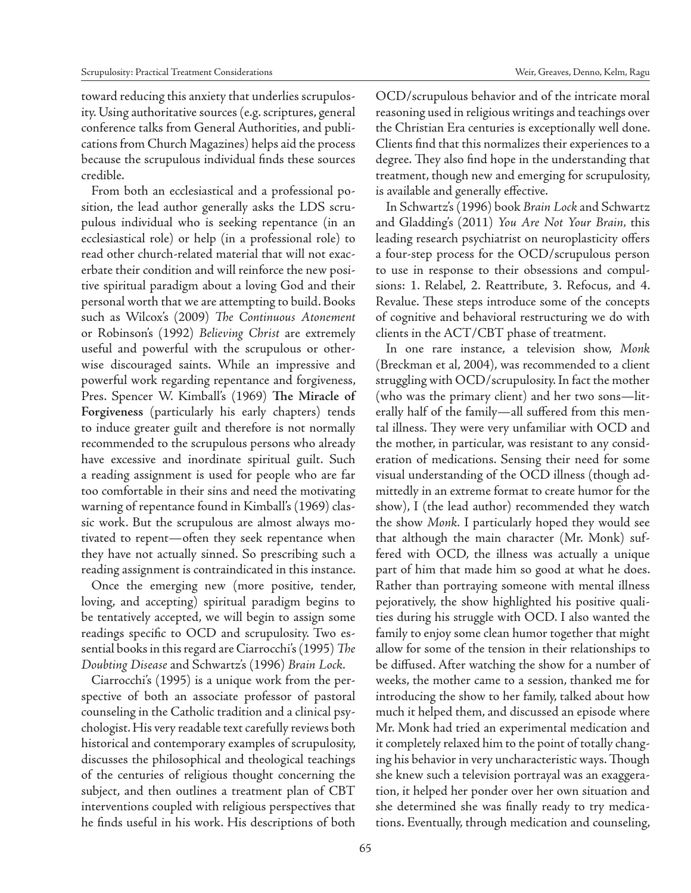toward reducing this anxiety that underlies scrupulosity. Using authoritative sources (e.g. scriptures, general conference talks from General Authorities, and publications from Church Magazines) helps aid the process because the scrupulous individual finds these sources credible.

From both an ecclesiastical and a professional position, the lead author generally asks the LDS scrupulous individual who is seeking repentance (in an ecclesiastical role) or help (in a professional role) to read other church-related material that will not exacerbate their condition and will reinforce the new positive spiritual paradigm about a loving God and their personal worth that we are attempting to build. Books such as Wilcox's (2009) *The Continuous Atonement*  or Robinson's (1992) *Believing Christ* are extremely useful and powerful with the scrupulous or otherwise discouraged saints. While an impressive and powerful work regarding repentance and forgiveness, Pres. Spencer W. Kimball's (1969) **The Miracle of Forgiveness** (particularly his early chapters) tends to induce greater guilt and therefore is not normally recommended to the scrupulous persons who already have excessive and inordinate spiritual guilt. Such a reading assignment is used for people who are far too comfortable in their sins and need the motivating warning of repentance found in Kimball's (1969) classic work. But the scrupulous are almost always motivated to repent—often they seek repentance when they have not actually sinned. So prescribing such a reading assignment is contraindicated in this instance.

Once the emerging new (more positive, tender, loving, and accepting) spiritual paradigm begins to be tentatively accepted, we will begin to assign some readings specific to OCD and scrupulosity. Two essential books in this regard are Ciarrocchi's (1995) *The Doubting Disease* and Schwartz's (1996) *Brain Lock.*

Ciarrocchi's (1995) is a unique work from the perspective of both an associate professor of pastoral counseling in the Catholic tradition and a clinical psychologist. His very readable text carefully reviews both historical and contemporary examples of scrupulosity, discusses the philosophical and theological teachings of the centuries of religious thought concerning the subject, and then outlines a treatment plan of CBT interventions coupled with religious perspectives that he finds useful in his work. His descriptions of both OCD/scrupulous behavior and of the intricate moral reasoning used in religious writings and teachings over the Christian Era centuries is exceptionally well done. Clients find that this normalizes their experiences to a degree. They also find hope in the understanding that treatment, though new and emerging for scrupulosity, is available and generally effective.

In Schwartz's (1996) book *Brain Lock* and Schwartz and Gladding's (2011) *You Are Not Your Brain,* this leading research psychiatrist on neuroplasticity offers a four-step process for the OCD/scrupulous person to use in response to their obsessions and compulsions: 1. Relabel, 2. Reattribute, 3. Refocus, and 4. Revalue. These steps introduce some of the concepts of cognitive and behavioral restructuring we do with clients in the ACT/CBT phase of treatment.

In one rare instance, a television show, *Monk* (Breckman et al, 2004), was recommended to a client struggling with OCD/scrupulosity. In fact the mother (who was the primary client) and her two sons—literally half of the family—all suffered from this mental illness. They were very unfamiliar with OCD and the mother, in particular, was resistant to any consideration of medications. Sensing their need for some visual understanding of the OCD illness (though admittedly in an extreme format to create humor for the show), I (the lead author) recommended they watch the show *Monk.* I particularly hoped they would see that although the main character (Mr. Monk) suffered with OCD, the illness was actually a unique part of him that made him so good at what he does. Rather than portraying someone with mental illness pejoratively, the show highlighted his positive qualities during his struggle with OCD. I also wanted the family to enjoy some clean humor together that might allow for some of the tension in their relationships to be diffused. After watching the show for a number of weeks, the mother came to a session, thanked me for introducing the show to her family, talked about how much it helped them, and discussed an episode where Mr. Monk had tried an experimental medication and it completely relaxed him to the point of totally changing his behavior in very uncharacteristic ways. Though she knew such a television portrayal was an exaggeration, it helped her ponder over her own situation and she determined she was finally ready to try medications. Eventually, through medication and counseling,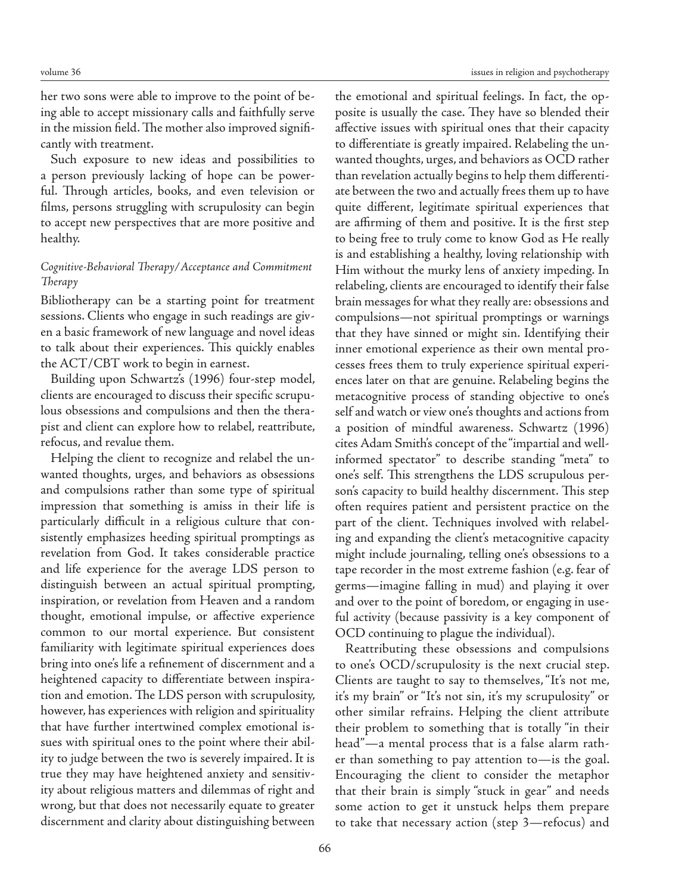her two sons were able to improve to the point of being able to accept missionary calls and faithfully serve in the mission field. The mother also improved significantly with treatment.

Such exposure to new ideas and possibilities to a person previously lacking of hope can be powerful. Through articles, books, and even television or films, persons struggling with scrupulosity can begin to accept new perspectives that are more positive and healthy.

# *Cognitive-Behavioral Therapy/Acceptance and Commitment Therapy*

Bibliotherapy can be a starting point for treatment sessions. Clients who engage in such readings are given a basic framework of new language and novel ideas to talk about their experiences. This quickly enables the ACT/CBT work to begin in earnest.

Building upon Schwartz's (1996) four-step model, clients are encouraged to discuss their specific scrupulous obsessions and compulsions and then the therapist and client can explore how to relabel, reattribute, refocus, and revalue them.

Helping the client to recognize and relabel the unwanted thoughts, urges, and behaviors as obsessions and compulsions rather than some type of spiritual impression that something is amiss in their life is particularly difficult in a religious culture that consistently emphasizes heeding spiritual promptings as revelation from God. It takes considerable practice and life experience for the average LDS person to distinguish between an actual spiritual prompting, inspiration, or revelation from Heaven and a random thought, emotional impulse, or affective experience common to our mortal experience. But consistent familiarity with legitimate spiritual experiences does bring into one's life a refinement of discernment and a heightened capacity to differentiate between inspiration and emotion. The LDS person with scrupulosity, however, has experiences with religion and spirituality that have further intertwined complex emotional issues with spiritual ones to the point where their ability to judge between the two is severely impaired. It is true they may have heightened anxiety and sensitivity about religious matters and dilemmas of right and wrong, but that does not necessarily equate to greater discernment and clarity about distinguishing between

the emotional and spiritual feelings. In fact, the opposite is usually the case. They have so blended their affective issues with spiritual ones that their capacity to differentiate is greatly impaired. Relabeling the unwanted thoughts, urges, and behaviors as OCD rather than revelation actually begins to help them differentiate between the two and actually frees them up to have quite different, legitimate spiritual experiences that are affirming of them and positive. It is the first step to being free to truly come to know God as He really is and establishing a healthy, loving relationship with Him without the murky lens of anxiety impeding. In relabeling, clients are encouraged to identify their false brain messages for what they really are: obsessions and compulsions—not spiritual promptings or warnings that they have sinned or might sin. Identifying their inner emotional experience as their own mental processes frees them to truly experience spiritual experiences later on that are genuine. Relabeling begins the metacognitive process of standing objective to one's self and watch or view one's thoughts and actions from a position of mindful awareness. Schwartz (1996) cites Adam Smith's concept of the "impartial and wellinformed spectator" to describe standing "meta" to one's self. This strengthens the LDS scrupulous person's capacity to build healthy discernment. This step often requires patient and persistent practice on the part of the client. Techniques involved with relabeling and expanding the client's metacognitive capacity might include journaling, telling one's obsessions to a tape recorder in the most extreme fashion (e.g. fear of germs—imagine falling in mud) and playing it over and over to the point of boredom, or engaging in useful activity (because passivity is a key component of OCD continuing to plague the individual).

Reattributing these obsessions and compulsions to one's OCD/scrupulosity is the next crucial step. Clients are taught to say to themselves, "It's not me, it's my brain" or "It's not sin, it's my scrupulosity" or other similar refrains. Helping the client attribute their problem to something that is totally "in their head"—a mental process that is a false alarm rather than something to pay attention to—is the goal. Encouraging the client to consider the metaphor that their brain is simply "stuck in gear" and needs some action to get it unstuck helps them prepare to take that necessary action (step 3—refocus) and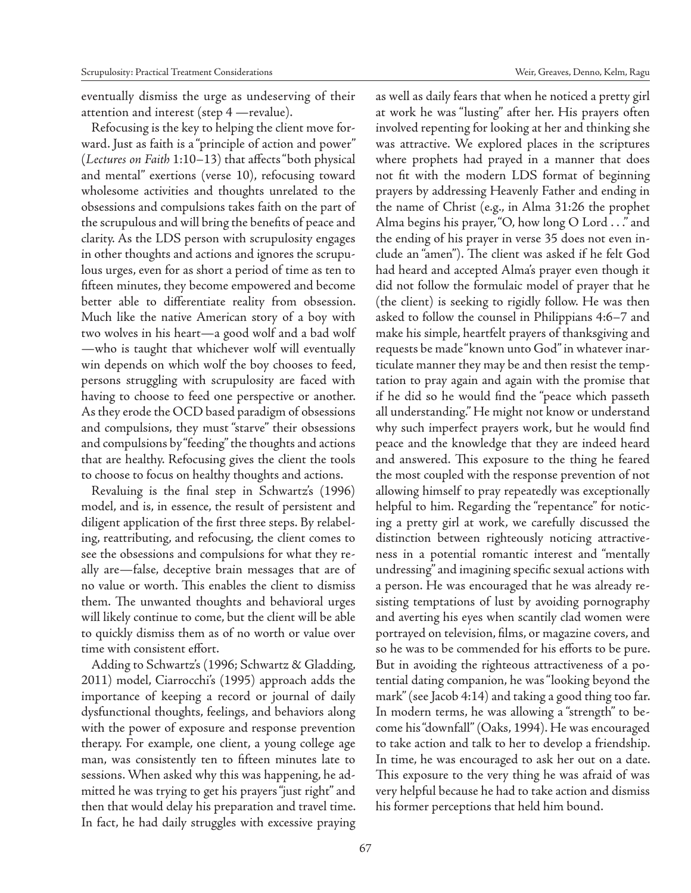eventually dismiss the urge as undeserving of their attention and interest (step 4 —revalue).

Refocusing is the key to helping the client move forward. Just as faith is a "principle of action and power" (*Lectures on Faith* 1:10–13) that affects "both physical and mental" exertions (verse 10), refocusing toward wholesome activities and thoughts unrelated to the obsessions and compulsions takes faith on the part of the scrupulous and will bring the benefits of peace and clarity. As the LDS person with scrupulosity engages in other thoughts and actions and ignores the scrupulous urges, even for as short a period of time as ten to fifteen minutes, they become empowered and become better able to differentiate reality from obsession. Much like the native American story of a boy with two wolves in his heart—a good wolf and a bad wolf —who is taught that whichever wolf will eventually win depends on which wolf the boy chooses to feed, persons struggling with scrupulosity are faced with having to choose to feed one perspective or another. As they erode the OCD based paradigm of obsessions and compulsions, they must "starve" their obsessions and compulsions by "feeding" the thoughts and actions that are healthy. Refocusing gives the client the tools to choose to focus on healthy thoughts and actions.

Revaluing is the final step in Schwartz's (1996) model, and is, in essence, the result of persistent and diligent application of the first three steps. By relabeling, reattributing, and refocusing, the client comes to see the obsessions and compulsions for what they really are—false, deceptive brain messages that are of no value or worth. This enables the client to dismiss them. The unwanted thoughts and behavioral urges will likely continue to come, but the client will be able to quickly dismiss them as of no worth or value over time with consistent effort.

Adding to Schwartz's (1996; Schwartz & Gladding, 2011) model, Ciarrocchi's (1995) approach adds the importance of keeping a record or journal of daily dysfunctional thoughts, feelings, and behaviors along with the power of exposure and response prevention therapy. For example, one client, a young college age man, was consistently ten to fifteen minutes late to sessions. When asked why this was happening, he admitted he was trying to get his prayers "just right" and then that would delay his preparation and travel time. In fact, he had daily struggles with excessive praying as well as daily fears that when he noticed a pretty girl at work he was "lusting" after her. His prayers often involved repenting for looking at her and thinking she was attractive. We explored places in the scriptures where prophets had prayed in a manner that does not fit with the modern LDS format of beginning prayers by addressing Heavenly Father and ending in the name of Christ (e.g., in Alma 31:26 the prophet Alma begins his prayer, "O, how long O Lord . . ." and the ending of his prayer in verse 35 does not even include an "amen"). The client was asked if he felt God had heard and accepted Alma's prayer even though it did not follow the formulaic model of prayer that he (the client) is seeking to rigidly follow. He was then asked to follow the counsel in Philippians 4:6–7 and make his simple, heartfelt prayers of thanksgiving and requests be made "known unto God" in whatever inarticulate manner they may be and then resist the temptation to pray again and again with the promise that if he did so he would find the "peace which passeth all understanding." He might not know or understand why such imperfect prayers work, but he would find peace and the knowledge that they are indeed heard and answered. This exposure to the thing he feared the most coupled with the response prevention of not allowing himself to pray repeatedly was exceptionally helpful to him. Regarding the "repentance" for noticing a pretty girl at work, we carefully discussed the distinction between righteously noticing attractiveness in a potential romantic interest and "mentally undressing" and imagining specific sexual actions with a person. He was encouraged that he was already resisting temptations of lust by avoiding pornography and averting his eyes when scantily clad women were portrayed on television, films, or magazine covers, and so he was to be commended for his efforts to be pure. But in avoiding the righteous attractiveness of a potential dating companion, he was "looking beyond the mark" (see Jacob 4:14) and taking a good thing too far. In modern terms, he was allowing a "strength" to become his "downfall" (Oaks, 1994). He was encouraged to take action and talk to her to develop a friendship. In time, he was encouraged to ask her out on a date. This exposure to the very thing he was afraid of was very helpful because he had to take action and dismiss his former perceptions that held him bound.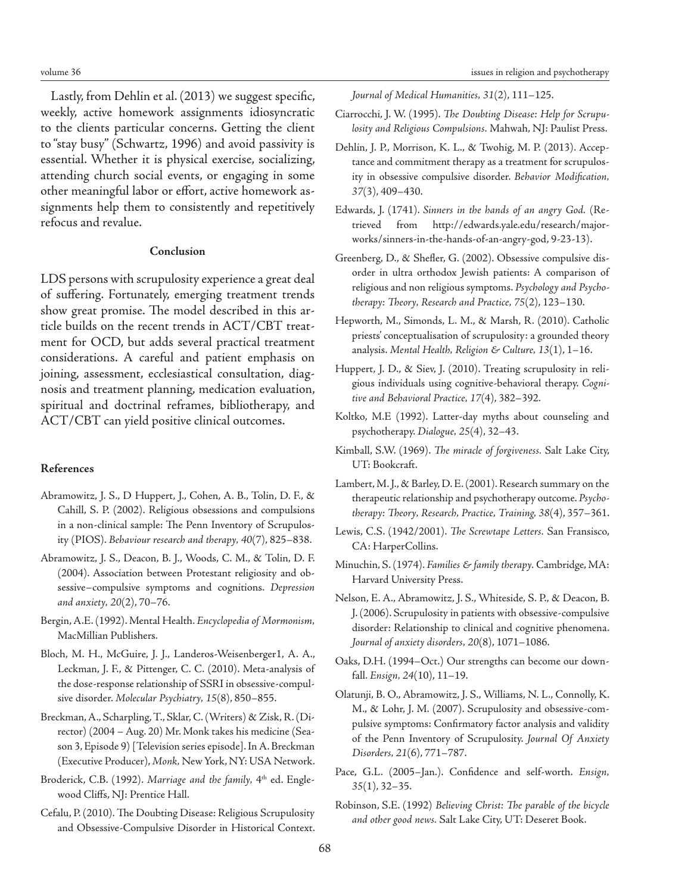Lastly, from Dehlin et al. (2013) we suggest specific, weekly, active homework assignments idiosyncratic to the clients particular concerns. Getting the client to "stay busy" (Schwartz, 1996) and avoid passivity is essential. Whether it is physical exercise, socializing, attending church social events, or engaging in some other meaningful labor or effort, active homework assignments help them to consistently and repetitively refocus and revalue.

#### **Conclusion**

LDS persons with scrupulosity experience a great deal of suffering. Fortunately, emerging treatment trends show great promise. The model described in this article builds on the recent trends in ACT/CBT treatment for OCD, but adds several practical treatment considerations. A careful and patient emphasis on joining, assessment, ecclesiastical consultation, diagnosis and treatment planning, medication evaluation, spiritual and doctrinal reframes, bibliotherapy, and ACT/CBT can yield positive clinical outcomes.

## **References**

- Abramowitz, J. S., D Huppert, J., Cohen, A. B., Tolin, D. F., & Cahill, S. P. (2002). Religious obsessions and compulsions in a non-clinical sample: The Penn Inventory of Scrupulosity (PIOS). *Behaviour research and therapy, 40*(7), 825–838.
- Abramowitz, J. S., Deacon, B. J., Woods, C. M., & Tolin, D. F. (2004). Association between Protestant religiosity and obsessive–compulsive symptoms and cognitions. *Depression and anxiety, 20*(2), 70–76.
- Bergin, A.E. (1992). Mental Health. *Encyclopedia of Mormonism,* MacMillian Publishers.
- Bloch, M. H., McGuire, J. J., Landeros-Weisenberger1, A. A., Leckman, J. F., & Pittenger, C. C. (2010). Meta-analysis of the dose-response relationship of SSRI in obsessive-compulsive disorder. *Molecular Psychiatry, 15*(8), 850–855.
- Breckman, A., Scharpling, T., Sklar, C. (Writers) & Zisk, R. (Director) (2004 – Aug. 20) Mr. Monk takes his medicine (Season 3, Episode 9) [Television series episode]. In A. Breckman (Executive Producer), *Monk,* New York, NY: USA Network.
- Broderick, C.B. (1992). Marriage and the family, 4<sup>th</sup> ed. Englewood Cliffs, NJ: Prentice Hall.
- Cefalu, P. (2010). The Doubting Disease: Religious Scrupulosity and Obsessive-Compulsive Disorder in Historical Context.

*Journal of Medical Humanities, 31*(2), 111–125.

- Ciarrocchi, J. W. (1995). *The Doubting Disease: Help for Scrupulosity and Religious Compulsions.* Mahwah, NJ: Paulist Press.
- Dehlin, J. P., Morrison, K. L., & Twohig, M. P. (2013). Acceptance and commitment therapy as a treatment for scrupulosity in obsessive compulsive disorder. *Behavior Modification, 37*(3), 409–430.
- Edwards, J. (1741). *Sinners in the hands of an angry God.* (Retrieved from http://edwards.yale.edu/research/majorworks/sinners-in-the-hands-of-an-angry-god, 9-23-13).
- Greenberg, D., & Shefler, G. (2002). Obsessive compulsive disorder in ultra orthodox Jewish patients: A comparison of religious and non religious symptoms. *Psychology and Psychotherapy: Theory, Research and Practice, 75*(2), 123–130.
- Hepworth, M., Simonds, L. M., & Marsh, R. (2010). Catholic priests' conceptualisation of scrupulosity: a grounded theory analysis. *Mental Health, Religion & Culture, 13*(1), 1–16.
- Huppert, J. D., & Siev, J. (2010). Treating scrupulosity in religious individuals using cognitive-behavioral therapy. *Cognitive and Behavioral Practice, 17*(4), 382–392.
- Koltko, M.E (1992). Latter-day myths about counseling and psychotherapy. *Dialogue, 25*(4), 32–43.
- Kimball, S.W. (1969). *The miracle of forgiveness.* Salt Lake City, UT: Bookcraft.
- Lambert, M. J., & Barley, D. E. (2001). Research summary on the therapeutic relationship and psychotherapy outcome. *Psychotherapy: Theory, Research, Practice, Training, 38*(4), 357–361.
- Lewis, C.S. (1942/2001). *The Screwtape Letters.* San Fransisco, CA: HarperCollins.
- Minuchin, S. (1974). *Families & family therapy.* Cambridge, MA: Harvard University Press.
- Nelson, E. A., Abramowitz, J. S., Whiteside, S. P., & Deacon, B. J. (2006). Scrupulosity in patients with obsessive-compulsive disorder: Relationship to clinical and cognitive phenomena. *Journal of anxiety disorders, 20*(8), 1071–1086.
- Oaks, D.H. (1994–Oct.) Our strengths can become our downfall. *Ensign, 24*(10), 11–19.
- Olatunji, B. O., Abramowitz, J. S., Williams, N. L., Connolly, K. M., & Lohr, J. M. (2007). Scrupulosity and obsessive-compulsive symptoms: Confirmatory factor analysis and validity of the Penn Inventory of Scrupulosity. *Journal Of Anxiety Disorders, 21*(6), 771–787.
- Pace, G.L. (2005–Jan.). Confidence and self-worth. *Ensign, 35*(1), 32–35.
- Robinson, S.E. (1992) *Believing Christ: The parable of the bicycle and other good news.* Salt Lake City, UT: Deseret Book.